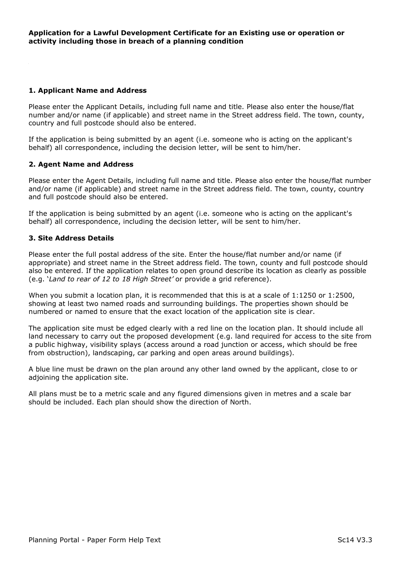## 1. Applicant Name and Address

Please enter the Applicant Details, including full name and title. Please also enter the house/flat number and/or name (if applicable) and street name in the Street address field. The town, county, country and full postcode should also be entered.

If the application is being submitted by an agent (i.e. someone who is acting on the applicant's behalf) all correspondence, including the decision letter, will be sent to him/her.

### 2. Agent Name and Address

Please enter the Agent Details, including full name and title. Please also enter the house/flat number and/or name (if applicable) and street name in the Street address field. The town, county, country and full postcode should also be entered.

If the application is being submitted by an agent (i.e. someone who is acting on the applicant's behalf) all correspondence, including the decision letter, will be sent to him/her.

## 3. Site Address Details

Please enter the full postal address of the site. Enter the house/flat number and/or name (if appropriate) and street name in the Street address field. The town, county and full postcode should also be entered. If the application relates to open ground describe its location as clearly as possible (e.g. 'Land to rear of 12 to 18 High Street' or provide a grid reference).

When you submit a location plan, it is recommended that this is at a scale of 1:1250 or 1:2500, showing at least two named roads and surrounding buildings. The properties shown should be numbered or named to ensure that the exact location of the application site is clear.

The application site must be edged clearly with a red line on the location plan. It should include all land necessary to carry out the proposed development (e.g. land required for access to the site from a public highway, visibility splays (access around a road junction or access, which should be free from obstruction), landscaping, car parking and open areas around buildings).

A blue line must be drawn on the plan around any other land owned by the applicant, close to or adjoining the application site.

All plans must be to a metric scale and any figured dimensions given in metres and a scale bar should be included. Each plan should show the direction of North.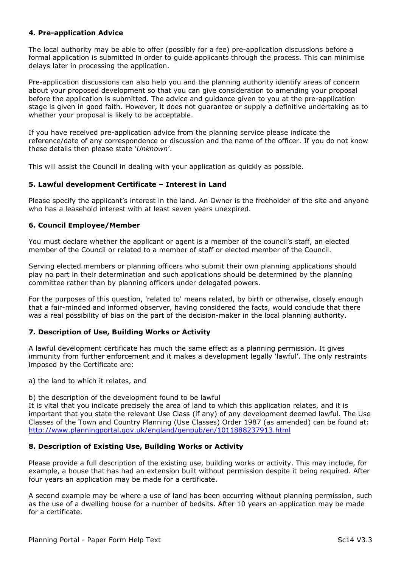# 4. Pre-application Advice

The local authority may be able to offer (possibly for a fee) pre-application discussions before a formal application is submitted in order to guide applicants through the process. This can minimise delays later in processing the application.

Pre-application discussions can also help you and the planning authority identify areas of concern about your proposed development so that you can give consideration to amending your proposal before the application is submitted. The advice and guidance given to you at the pre-application stage is given in good faith. However, it does not guarantee or supply a definitive undertaking as to whether your proposal is likely to be acceptable.

If you have received pre-application advice from the planning service please indicate the reference/date of any correspondence or discussion and the name of the officer. If you do not know these details then please state 'Unknown'.

This will assist the Council in dealing with your application as quickly as possible.

### 5. Lawful development Certificate – Interest in Land

Please specify the applicant's interest in the land. An Owner is the freeholder of the site and anyone who has a leasehold interest with at least seven years unexpired.

### 6. Council Employee/Member

You must declare whether the applicant or agent is a member of the council's staff, an elected member of the Council or related to a member of staff or elected member of the Council.

Serving elected members or planning officers who submit their own planning applications should play no part in their determination and such applications should be determined by the planning committee rather than by planning officers under delegated powers.

For the purposes of this question, 'related to' means related, by birth or otherwise, closely enough that a fair-minded and informed observer, having considered the facts, would conclude that there was a real possibility of bias on the part of the decision-maker in the local planning authority.

### 7. Description of Use, Building Works or Activity

A lawful development certificate has much the same effect as a planning permission. It gives immunity from further enforcement and it makes a development legally 'lawful'. The only restraints imposed by the Certificate are:

a) the land to which it relates, and

b) the description of the development found to be lawful

It is vital that you indicate precisely the area of land to which this application relates, and it is important that you state the relevant Use Class (if any) of any development deemed lawful. The Use Classes of the Town and Country Planning (Use Classes) Order 1987 (as amended) can be found at: http://www.planningportal.gov.uk/england/genpub/en/1011888237913.html

### 8. Description of Existing Use, Building Works or Activity

Please provide a full description of the existing use, building works or activity. This may include, for example, a house that has had an extension built without permission despite it being required. After four years an application may be made for a certificate.

A second example may be where a use of land has been occurring without planning permission, such as the use of a dwelling house for a number of bedsits. After 10 years an application may be made for a certificate.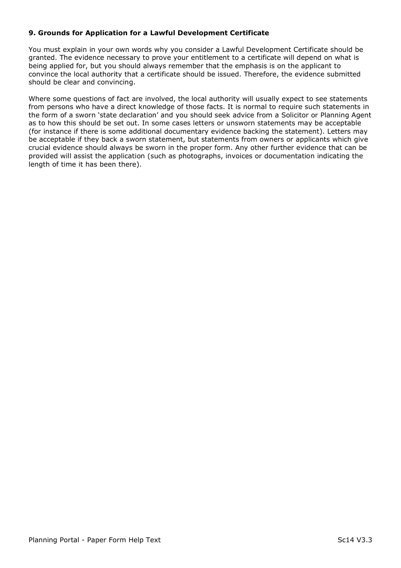# 9. Grounds for Application for a Lawful Development Certificate

You must explain in your own words why you consider a Lawful Development Certificate should be granted. The evidence necessary to prove your entitlement to a certificate will depend on what is being applied for, but you should always remember that the emphasis is on the applicant to convince the local authority that a certificate should be issued. Therefore, the evidence submitted should be clear and convincing.

Where some questions of fact are involved, the local authority will usually expect to see statements from persons who have a direct knowledge of those facts. It is normal to require such statements in the form of a sworn 'state declaration' and you should seek advice from a Solicitor or Planning Agent as to how this should be set out. In some cases letters or unsworn statements may be acceptable (for instance if there is some additional documentary evidence backing the statement). Letters may be acceptable if they back a sworn statement, but statements from owners or applicants which give crucial evidence should always be sworn in the proper form. Any other further evidence that can be provided will assist the application (such as photographs, invoices or documentation indicating the length of time it has been there).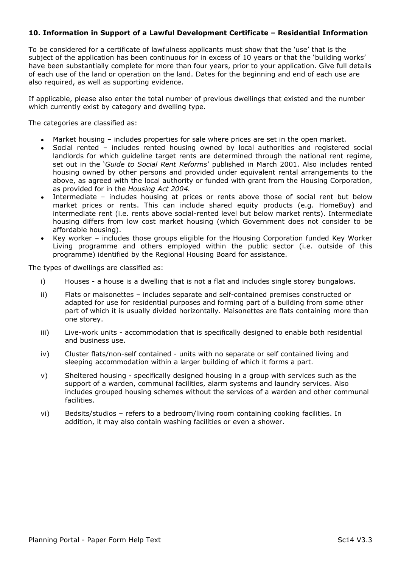# 10. Information in Support of a Lawful Development Certificate – Residential Information

To be considered for a certificate of lawfulness applicants must show that the 'use' that is the subject of the application has been continuous for in excess of 10 years or that the 'building works' have been substantially complete for more than four years, prior to your application. Give full details of each use of the land or operation on the land. Dates for the beginning and end of each use are also required, as well as supporting evidence.

If applicable, please also enter the total number of previous dwellings that existed and the number which currently exist by category and dwelling type.

The categories are classified as:

- Market housing includes properties for sale where prices are set in the open market.
- Social rented includes rented housing owned by local authorities and registered social  $\bullet$ landlords for which guideline target rents are determined through the national rent regime, set out in the 'Guide to Social Rent Reforms' published in March 2001. Also includes rented housing owned by other persons and provided under equivalent rental arrangements to the above, as agreed with the local authority or funded with grant from the Housing Corporation, as provided for in the Housing Act 2004.
- Intermediate includes housing at prices or rents above those of social rent but below market prices or rents. This can include shared equity products (e.g. HomeBuy) and intermediate rent (i.e. rents above social-rented level but below market rents). Intermediate housing differs from low cost market housing (which Government does not consider to be affordable housing).
- Key worker includes those groups eligible for the Housing Corporation funded Key Worker Living programme and others employed within the public sector (i.e. outside of this programme) identified by the Regional Housing Board for assistance.

The types of dwellings are classified as:

- i) Houses a house is a dwelling that is not a flat and includes single storey bungalows.
- ii) Flats or maisonettes includes separate and self-contained premises constructed or adapted for use for residential purposes and forming part of a building from some other part of which it is usually divided horizontally. Maisonettes are flats containing more than one storey.
- iii) Live-work units accommodation that is specifically designed to enable both residential and business use.
- iv) Cluster flats/non-self contained units with no separate or self contained living and sleeping accommodation within a larger building of which it forms a part.
- v) Sheltered housing specifically designed housing in a group with services such as the support of a warden, communal facilities, alarm systems and laundry services. Also includes grouped housing schemes without the services of a warden and other communal facilities.
- vi) Bedsits/studios refers to a bedroom/living room containing cooking facilities. In addition, it may also contain washing facilities or even a shower.